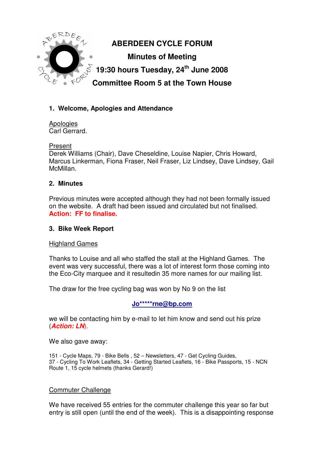

## **1. Welcome, Apologies and Attendance**

Apologies Carl Gerrard.

#### Present

Derek Williams (Chair), Dave Cheseldine, Louise Napier, Chris Howard, Marcus Linkerman, Fiona Fraser, Neil Fraser, Liz Lindsey, Dave Lindsey, Gail McMillan.

### **2. Minutes**

Previous minutes were accepted although they had not been formally issued on the website. A draft had been issued and circulated but not finalised. **Action: FF to finalise.**

#### **3. Bike Week Report**

#### Highland Games

Thanks to Louise and all who staffed the stall at the Highland Games. The event was very successful, there was a lot of interest form those coming into the Eco-City marquee and it resultedin 35 more names for our mailing list.

The draw for the free cycling bag was won by No 9 on the list

**Jo\*\*\*\*\*rne@bp.com**

we will be contacting him by e-mail to let him know and send out his prize (**Action: LN**).

We also gave away:

151 - Cycle Maps, 79 - Bike Bells , 52 – Newsletters, 47 - Get Cycling Guides, 37 - Cycling To Work Leaflets, 34 - Getting Started Leaflets, 16 - Bike Passports, 15 - NCN Route 1, 15 cycle helmets (thanks Gerard!)

#### Commuter Challenge

We have received 55 entries for the commuter challenge this year so far but entry is still open (until the end of the week). This is a disappointing response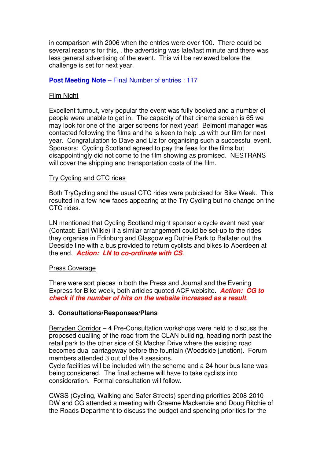in comparison with 2006 when the entries were over 100. There could be several reasons for this, , the advertising was late/last minute and there was less general advertising of the event. This will be reviewed before the challenge is set for next year.

#### **Post Meeting Note** – Final Number of entries : 117

#### Film Night

Excellent turnout, very popular the event was fully booked and a number of people were unable to get in. The capacity of that cinema screen is 65 we may look for one of the larger screens for next year! Belmont manager was contacted following the films and he is keen to help us with our film for next year. Congratulation to Dave and Liz for organising such a successful event. Sponsors: Cycling Scotland agreed to pay the fees for the films but disappointingly did not come to the film showing as promised. NESTRANS will cover the shipping and transportation costs of the film.

#### Try Cycling and CTC rides

Both TryCycling and the usual CTC rides were pubicised for Bike Week. This resulted in a few new faces appearing at the Try Cycling but no change on the CTC rides.

LN mentioned that Cycling Scotland might sponsor a cycle event next year (Contact: Earl Wilkie) if a similar arrangement could be set-up to the rides they organise in Edinburg and Glasgow eg Duthie Park to Ballater out the Deeside line with a bus provided to return cyclists and bikes to Aberdeen at the end. **Action: LN to co-ordinate with CS**.

#### Press Coverage

There were sort pieces in both the Press and Journal and the Evening Express for Bike week, both articles quoted ACF webisite. **Action: CG to check if the number of hits on the website increased as a result**.

#### **3. Consultations/Responses/Plans**

Berryden Corridor – 4 Pre-Consultation workshops were held to discuss the proposed dualling of the road from the CLAN building, heading north past the retail park to the other side of St Machar Drive where the existing road becomes dual carriageway before the fountain (Woodside junction). Forum members attended 3 out of the 4 sessions.

Cycle facilities will be included with the scheme and a 24 hour bus lane was being considered. The final scheme will have to take cyclists into consideration. Formal consultation will follow.

CWSS (Cycling, Walking and Safer Streets) spending priorities 2008-2010 – DW and CG attended a meeting with Graeme Mackenzie and Doug Ritchie of the Roads Department to discuss the budget and spending priorities for the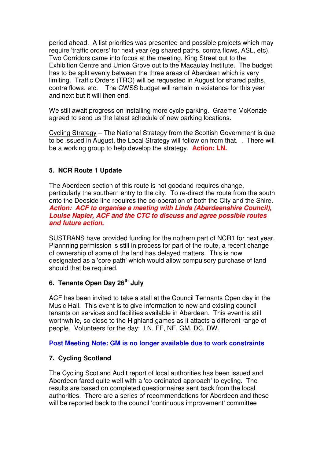period ahead. A list priorities was presented and possible projects which may require 'traffic orders' for next year (eg shared paths, contra flows, ASL, etc). Two Corridors came into focus at the meeting, King Street out to the Exhibition Centre and Union Grove out to the Macaulay Institute. The budget has to be split evenly between the three areas of Aberdeen which is very limiting. Traffic Orders (TRO) will be requested in August for shared paths, contra flows, etc. The CWSS budget will remain in existence for this year and next but it will then end.

We still await progress on installing more cycle parking. Graeme McKenzie agreed to send us the latest schedule of new parking locations.

Cycling Strategy – The National Strategy from the Scottish Government is due to be issued in August, the Local Strategy will follow on from that. . There will be a working group to help develop the strategy. **Action: LN.**

### **5. NCR Route 1 Update**

The Aberdeen section of this route is not goodand requires change, particularly the southern entry to the city. To re-direct the route from the south onto the Deeside line requires the co-operation of both the City and the Shire. **Action: ACF to organise a meeting with Linda (Aberdeenshire Council), Louise Napier, ACF and the CTC to discuss and agree possible routes and future action.**

SUSTRANS have provided funding for the nothern part of NCR1 for next year. Plannning permission is still in process for part of the route, a recent change of ownership of some of the land has delayed matters. This is now designated as a 'core path' which would allow compulsory purchase of land should that be required.

## **6. Tenants Open Day 26th July**

ACF has been invited to take a stall at the Council Tennants Open day in the Music Hall. This event is to give information to new and existing council tenants on services and facilities available in Aberdeen. This event is still worthwhile, so close to the Highland games as it attacts a different range of people. Volunteers for the day: LN, FF, NF, GM, DC, DW.

#### **Post Meeting Note: GM is no longer available due to work constraints**

### **7. Cycling Scotland**

The Cycling Scotland Audit report of local authorities has been issued and Aberdeen fared quite well with a 'co-ordinated approach' to cycling. The results are based on completed questionnaires sent back from the local authorities. There are a series of recommendations for Aberdeen and these will be reported back to the council 'continuous improvement' committee